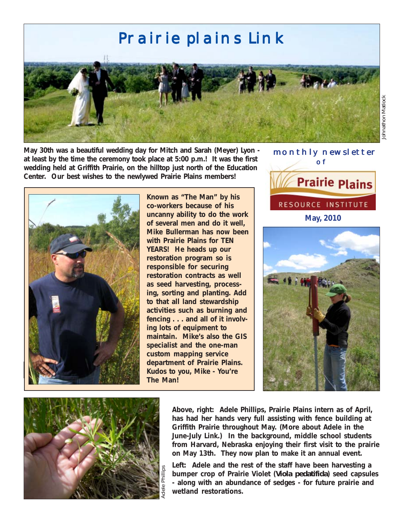

**May 30th was a beautiful wedding day for Mitch and Sarah (Meyer) Lyon at least by the time the ceremony took place at 5:00 p.m.! It was the first wedding held at Griffith Prairie, on the hilltop just north of the Education Center. Our best wishes to the newlywed Prairie Plains members!**



**Known as "The Man" by his co-workers because of his uncanny ability to do the work of several men and do it well, Mike Bullerman has now been with Prairie Plains for TEN YEARS! He heads up our restoration program so is responsible for securing restoration contracts as well as seed harvesting, processing, sorting and planting. Add to that all land stewardship activities such as burning and fencing . . . and all of it involving lots of equipment to maintain. Mike's also the GIS specialist and the one-man custom mapping service department of Prairie Plains. Kudos to you, Mike - You're The Man!**



Johnathon Matlock





**Above, right: Adele Phillips, Prairie Plains intern as of April, has had her hands very full assisting with fence building at Griffith Prairie throughout May. (More about Adele in the June-July Link.) In the background, middle school students from Harvard, Nebraska enjoying their first visit to the prairie on May 13th. They now plan to make it an annual event.**

**Left: Adele and the rest of the staff have been harvesting a bumper crop of Prairie Violet (***Viola pedatifida***) seed capsules - along with an abundance of sedges - for future prairie and wetland restorations.**